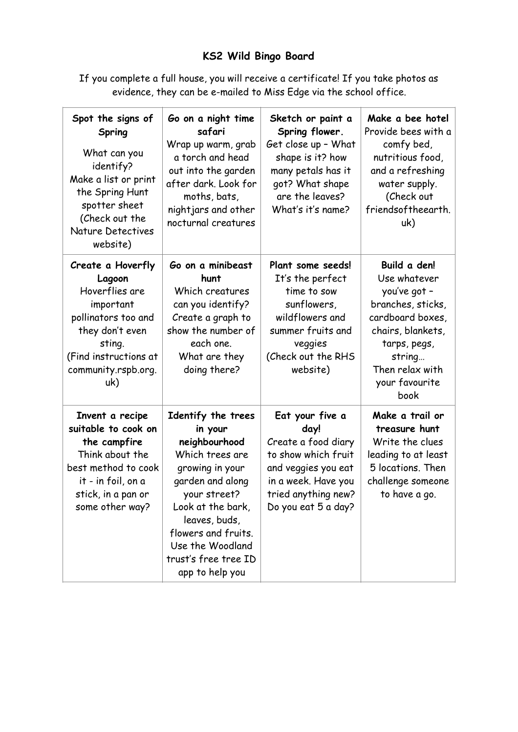## **KS2 Wild Bingo Board**

If you complete a full house, you will receive a certificate! If you take photos as evidence, they can be e-mailed to Miss Edge via the school office.

| Spot the signs of<br>Spring<br>What can you<br>identify?<br>Make a list or print<br>the Spring Hunt<br>spotter sheet<br>(Check out the<br><b>Nature Detectives</b><br>website) | Go on a night time<br>safari<br>Wrap up warm, grab<br>a torch and head<br>out into the garden<br>after dark. Look for<br>moths, bats,<br>nightjars and other<br>nocturnal creatures                                                                  | Sketch or paint a<br>Spring flower.<br>Get close up - What<br>shape is it? how<br>many petals has it<br>got? What shape<br>are the leaves?<br>What's it's name?   | Make a bee hotel<br>Provide bees with a<br>comfy bed,<br>nutritious food,<br>and a refreshing<br>water supply.<br>(Check out<br>friendsoftheearth.<br>uk)                         |
|--------------------------------------------------------------------------------------------------------------------------------------------------------------------------------|------------------------------------------------------------------------------------------------------------------------------------------------------------------------------------------------------------------------------------------------------|-------------------------------------------------------------------------------------------------------------------------------------------------------------------|-----------------------------------------------------------------------------------------------------------------------------------------------------------------------------------|
| Create a Hoverfly<br>Lagoon<br>Hoverflies are<br>important<br>pollinators too and<br>they don't even<br>sting.<br>(Find instructions at<br>community.rspb.org.<br>uk)          | Go on a minibeast<br>hunt<br>Which creatures<br>can you identify?<br>Create a graph to<br>show the number of<br>each one.<br>What are they<br>doing there?                                                                                           | Plant some seeds!<br>It's the perfect<br>time to sow<br>sunflowers,<br>wildflowers and<br>summer fruits and<br>veggies<br>(Check out the RHS<br>website)          | Build a den!<br>Use whatever<br>you've got -<br>branches, sticks,<br>cardboard boxes,<br>chairs, blankets,<br>tarps, pegs,<br>string<br>Then relax with<br>your favourite<br>book |
| Invent a recipe<br>suitable to cook on<br>the campfire<br>Think about the<br>best method to cook<br>it - in foil, on a<br>stick, in a pan or<br>some other way?                | Identify the trees<br>in your<br>neighbourhood<br>Which trees are<br>growing in your<br>garden and along<br>your street?<br>Look at the bark,<br>leaves, buds,<br>flowers and fruits.<br>Use the Woodland<br>trust's free tree ID<br>app to help you | Eat your five a<br>day!<br>Create a food diary<br>to show which fruit<br>and veggies you eat<br>in a week. Have you<br>tried anything new?<br>Do you eat 5 a day? | Make a trail or<br>treasure hunt<br>Write the clues<br>leading to at least<br>5 locations. Then<br>challenge someone<br>to have a go.                                             |